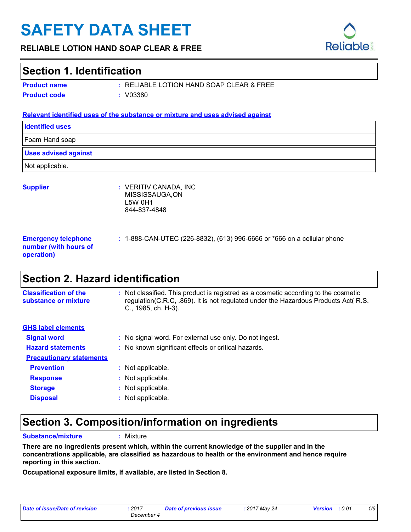# **SAFETY DATA SHEET**

#### **RELIABLE LOTION HAND SOAP CLEAR & FREE**

### **Section 1. Identification**

**Product name Product code :** V03380

RELIABLE LOTION HAND SOAP CLEAR & FREE **:**

#### **Relevant identified uses of the substance or mixture and uses advised against**

| <b>Identified uses</b>                                            |                                                                           |
|-------------------------------------------------------------------|---------------------------------------------------------------------------|
| Foam Hand soap                                                    |                                                                           |
| <b>Uses advised against</b>                                       |                                                                           |
| Not applicable.                                                   |                                                                           |
| <b>Supplier</b>                                                   | : VERITIV CANADA, INC<br>MISSISSAUGA,ON<br><b>L5W 0H1</b><br>844-837-4848 |
| <b>Emergency telephone</b><br>number (with hours of<br>operation) | : 1-888-CAN-UTEC (226-8832), (613) 996-6666 or *666 on a cellular phone   |
| <b>AB</b><br>. .<br>$\blacksquare$                                |                                                                           |

### **Section 2. Hazard identification**

| <b>Classification of the</b><br>substance or mixture | : Not classified. This product is registred as a cosmetic according to the cosmetic<br>regulation(C.R.C, .869). It is not regulated under the Hazardous Products Act( R.S.<br>$C_{1}$ , 1985, ch. H-3). |
|------------------------------------------------------|---------------------------------------------------------------------------------------------------------------------------------------------------------------------------------------------------------|
| <b>GHS label elements</b>                            |                                                                                                                                                                                                         |
| <b>Signal word</b>                                   | : No signal word. For external use only. Do not ingest.                                                                                                                                                 |
| <b>Hazard statements</b>                             | : No known significant effects or critical hazards.                                                                                                                                                     |
| <b>Precautionary statements</b>                      |                                                                                                                                                                                                         |
| <b>Prevention</b>                                    | : Not applicable.                                                                                                                                                                                       |
| <b>Response</b>                                      | Not applicable.<br>÷.                                                                                                                                                                                   |
| <b>Storage</b>                                       | : Not applicable.                                                                                                                                                                                       |
| <b>Disposal</b>                                      | Not applicable.                                                                                                                                                                                         |

### **Section 3. Composition/information on ingredients**

**Substance/mixture :**

: Mixture

**There are no ingredients present which, within the current knowledge of the supplier and in the concentrations applicable, are classified as hazardous to health or the environment and hence require reporting in this section.**

**Occupational exposure limits, if available, are listed in Section 8.**

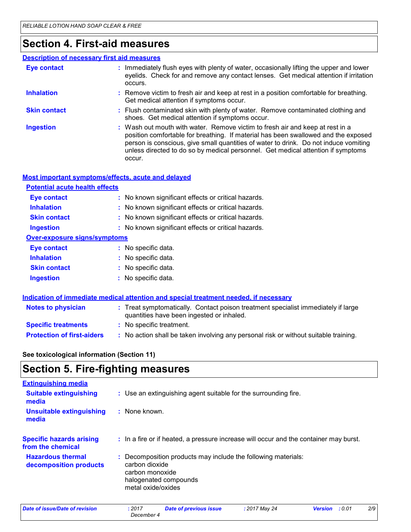### **Section 4. First-aid measures**

#### Wash out mouth with water. Remove victim to fresh air and keep at rest in a position comfortable for breathing. If material has been swallowed and the exposed person is conscious, give small quantities of water to drink. Do not induce vomiting unless directed to do so by medical personnel. Get medical attention if symptoms occur. **:** Immediately flush eyes with plenty of water, occasionally lifting the upper and lower eyelids. Check for and remove any contact lenses. Get medical attention if irritation occurs. Flush contaminated skin with plenty of water. Remove contaminated clothing and **:** shoes. Get medical attention if symptoms occur. Remove victim to fresh air and keep at rest in a position comfortable for breathing. **:** Get medical attention if symptoms occur. **Eye contact Skin contact Inhalation Ingestion : Description of necessary first aid measures**

| Most important symptoms/effects, acute and delayed |                                                     |  |  |
|----------------------------------------------------|-----------------------------------------------------|--|--|
| <b>Potential acute health effects</b>              |                                                     |  |  |
| <b>Eye contact</b>                                 | : No known significant effects or critical hazards. |  |  |
| <b>Inhalation</b>                                  | : No known significant effects or critical hazards. |  |  |
| <b>Skin contact</b>                                | : No known significant effects or critical hazards. |  |  |
| <b>Ingestion</b>                                   | : No known significant effects or critical hazards. |  |  |
| <b>Over-exposure signs/symptoms</b>                |                                                     |  |  |
| <b>Eye contact</b>                                 | : No specific data.                                 |  |  |
| <b>Inhalation</b>                                  | : No specific data.                                 |  |  |
| <b>Skin contact</b>                                | : No specific data.                                 |  |  |
| <b>Ingestion</b>                                   | : No specific data.                                 |  |  |

|                                   | Indication of immediate medical attention and special treatment needed, if necessary                                           |  |
|-----------------------------------|--------------------------------------------------------------------------------------------------------------------------------|--|
| <b>Notes to physician</b>         | : Treat symptomatically. Contact poison treatment specialist immediately if large<br>quantities have been ingested or inhaled. |  |
| <b>Specific treatments</b>        | : No specific treatment.                                                                                                       |  |
| <b>Protection of first-aiders</b> | : No action shall be taken involving any personal risk or without suitable training.                                           |  |

**See toxicological information (Section 11)**

### **Section 5. Fire-fighting measures**

| <b>Extinguishing media</b>                           |                                                                                                                                                   |
|------------------------------------------------------|---------------------------------------------------------------------------------------------------------------------------------------------------|
| <b>Suitable extinguishing</b><br>media               | : Use an extinguishing agent suitable for the surrounding fire.                                                                                   |
| Unsuitable extinguishing<br>media                    | : None known.                                                                                                                                     |
| <b>Specific hazards arising</b><br>from the chemical | : In a fire or if heated, a pressure increase will occur and the container may burst.                                                             |
| <b>Hazardous thermal</b><br>decomposition products   | : Decomposition products may include the following materials:<br>carbon dioxide<br>carbon monoxide<br>halogenated compounds<br>metal oxide/oxides |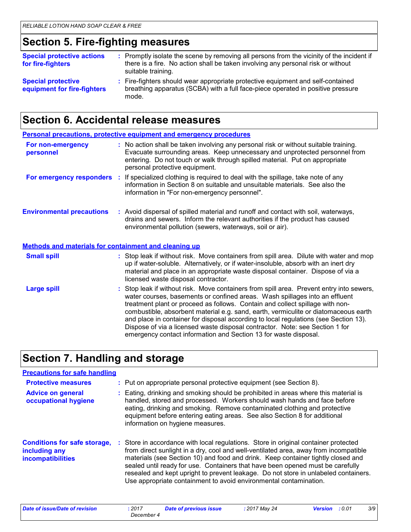### **Section 5. Fire-fighting measures**

| <b>Special protective actions</b><br>for fire-fighters   | : Promptly isolate the scene by removing all persons from the vicinity of the incident if<br>there is a fire. No action shall be taken involving any personal risk or without<br>suitable training. |
|----------------------------------------------------------|-----------------------------------------------------------------------------------------------------------------------------------------------------------------------------------------------------|
| <b>Special protective</b><br>equipment for fire-fighters | : Fire-fighters should wear appropriate protective equipment and self-contained<br>breathing apparatus (SCBA) with a full face-piece operated in positive pressure<br>mode.                         |

# **Section 6. Accidental release measures**

|                                                              | <b>Personal precautions, protective equipment and emergency procedures</b>                                                                                                                                                                                                                                                                                                                                                                                                                                                                                                                  |
|--------------------------------------------------------------|---------------------------------------------------------------------------------------------------------------------------------------------------------------------------------------------------------------------------------------------------------------------------------------------------------------------------------------------------------------------------------------------------------------------------------------------------------------------------------------------------------------------------------------------------------------------------------------------|
| For non-emergency<br>personnel                               | : No action shall be taken involving any personal risk or without suitable training.<br>Evacuate surrounding areas. Keep unnecessary and unprotected personnel from<br>entering. Do not touch or walk through spilled material. Put on appropriate<br>personal protective equipment.                                                                                                                                                                                                                                                                                                        |
|                                                              | For emergency responders : If specialized clothing is required to deal with the spillage, take note of any<br>information in Section 8 on suitable and unsuitable materials. See also the<br>information in "For non-emergency personnel".                                                                                                                                                                                                                                                                                                                                                  |
| <b>Environmental precautions</b>                             | : Avoid dispersal of spilled material and runoff and contact with soil, waterways,<br>drains and sewers. Inform the relevant authorities if the product has caused<br>environmental pollution (sewers, waterways, soil or air).                                                                                                                                                                                                                                                                                                                                                             |
| <b>Methods and materials for containment and cleaning up</b> |                                                                                                                                                                                                                                                                                                                                                                                                                                                                                                                                                                                             |
| <b>Small spill</b>                                           | : Stop leak if without risk. Move containers from spill area. Dilute with water and mop<br>up if water-soluble. Alternatively, or if water-insoluble, absorb with an inert dry<br>material and place in an appropriate waste disposal container. Dispose of via a<br>licensed waste disposal contractor.                                                                                                                                                                                                                                                                                    |
| <b>Large spill</b>                                           | : Stop leak if without risk. Move containers from spill area. Prevent entry into sewers,<br>water courses, basements or confined areas. Wash spillages into an effluent<br>treatment plant or proceed as follows. Contain and collect spillage with non-<br>combustible, absorbent material e.g. sand, earth, vermiculite or diatomaceous earth<br>and place in container for disposal according to local regulations (see Section 13).<br>Dispose of via a licensed waste disposal contractor. Note: see Section 1 for<br>emergency contact information and Section 13 for waste disposal. |

### **Section 7. Handling and storage**

### **Precautions for safe handling**

| <b>Protective measures</b>                                                       | : Put on appropriate personal protective equipment (see Section 8).                                                                                                                                                                                                                                                                                                                                                                                                                                           |
|----------------------------------------------------------------------------------|---------------------------------------------------------------------------------------------------------------------------------------------------------------------------------------------------------------------------------------------------------------------------------------------------------------------------------------------------------------------------------------------------------------------------------------------------------------------------------------------------------------|
| <b>Advice on general</b><br>occupational hygiene                                 | : Eating, drinking and smoking should be prohibited in areas where this material is<br>handled, stored and processed. Workers should wash hands and face before<br>eating, drinking and smoking. Remove contaminated clothing and protective<br>equipment before entering eating areas. See also Section 8 for additional<br>information on hygiene measures.                                                                                                                                                 |
| <b>Conditions for safe storage,</b><br>including any<br><b>incompatibilities</b> | : Store in accordance with local regulations. Store in original container protected<br>from direct sunlight in a dry, cool and well-ventilated area, away from incompatible<br>materials (see Section 10) and food and drink. Keep container tightly closed and<br>sealed until ready for use. Containers that have been opened must be carefully<br>resealed and kept upright to prevent leakage. Do not store in unlabeled containers.<br>Use appropriate containment to avoid environmental contamination. |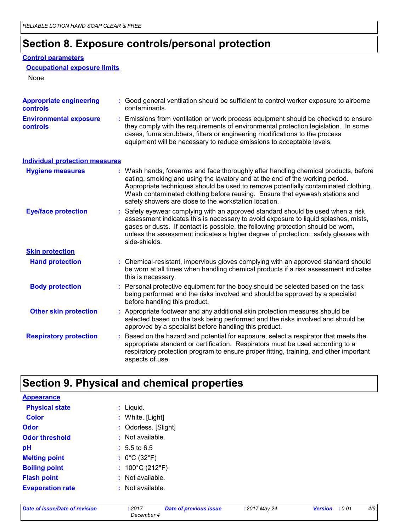# **Section 8. Exposure controls/personal protection**

#### **Control parameters**

```
Occupational exposure limits
```
None.

| <b>Appropriate engineering</b><br><b>controls</b> | : Good general ventilation should be sufficient to control worker exposure to airborne<br>contaminants.                                                                                                                                                                                                                                                                                           |
|---------------------------------------------------|---------------------------------------------------------------------------------------------------------------------------------------------------------------------------------------------------------------------------------------------------------------------------------------------------------------------------------------------------------------------------------------------------|
| <b>Environmental exposure</b><br><b>controls</b>  | Emissions from ventilation or work process equipment should be checked to ensure<br>they comply with the requirements of environmental protection legislation. In some<br>cases, fume scrubbers, filters or engineering modifications to the process<br>equipment will be necessary to reduce emissions to acceptable levels.                                                                     |
| <b>Individual protection measures</b>             |                                                                                                                                                                                                                                                                                                                                                                                                   |
| <b>Hygiene measures</b>                           | : Wash hands, forearms and face thoroughly after handling chemical products, before<br>eating, smoking and using the lavatory and at the end of the working period.<br>Appropriate techniques should be used to remove potentially contaminated clothing.<br>Wash contaminated clothing before reusing. Ensure that eyewash stations and<br>safety showers are close to the workstation location. |
| <b>Eye/face protection</b>                        | : Safety eyewear complying with an approved standard should be used when a risk<br>assessment indicates this is necessary to avoid exposure to liquid splashes, mists,<br>gases or dusts. If contact is possible, the following protection should be worn,<br>unless the assessment indicates a higher degree of protection: safety glasses with<br>side-shields.                                 |
| <b>Skin protection</b>                            |                                                                                                                                                                                                                                                                                                                                                                                                   |
| <b>Hand protection</b>                            | : Chemical-resistant, impervious gloves complying with an approved standard should<br>be worn at all times when handling chemical products if a risk assessment indicates<br>this is necessary.                                                                                                                                                                                                   |
| <b>Body protection</b>                            | Personal protective equipment for the body should be selected based on the task<br>being performed and the risks involved and should be approved by a specialist<br>before handling this product.                                                                                                                                                                                                 |
| <b>Other skin protection</b>                      | : Appropriate footwear and any additional skin protection measures should be<br>selected based on the task being performed and the risks involved and should be<br>approved by a specialist before handling this product.                                                                                                                                                                         |
| <b>Respiratory protection</b>                     | Based on the hazard and potential for exposure, select a respirator that meets the<br>appropriate standard or certification. Respirators must be used according to a<br>respiratory protection program to ensure proper fitting, training, and other important<br>aspects of use.                                                                                                                 |

# **Section 9. Physical and chemical properties**

| <b>Appearance</b>       |                                      |
|-------------------------|--------------------------------------|
| <b>Physical state</b>   | : Liquid.                            |
| <b>Color</b>            | : White. [Light]                     |
| Odor                    | : Odorless. [Slight]                 |
| <b>Odor threshold</b>   | : Not available.                     |
| pH                      | $: 5.5 \text{ to } 6.5$              |
| <b>Melting point</b>    | : $0^{\circ}$ C (32 $^{\circ}$ F)    |
| <b>Boiling point</b>    | : $100^{\circ}$ C (212 $^{\circ}$ F) |
| <b>Flash point</b>      | : Not available.                     |
| <b>Evaporation rate</b> | : Not available.                     |
|                         |                                      |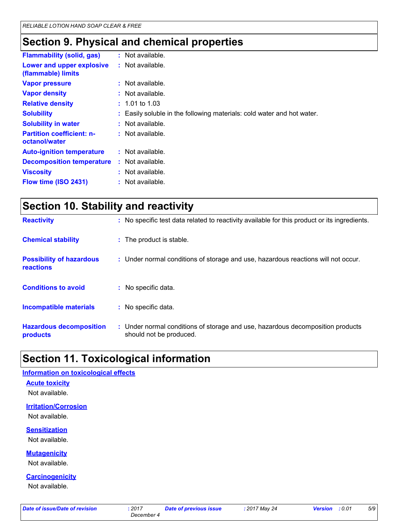# **Section 9. Physical and chemical properties**

| <b>Flammability (solid, gas)</b>                  | : Not available.                                                       |
|---------------------------------------------------|------------------------------------------------------------------------|
| Lower and upper explosive<br>(flammable) limits   | $:$ Not available.                                                     |
| <b>Vapor pressure</b>                             | $:$ Not available.                                                     |
| <b>Vapor density</b>                              | $:$ Not available.                                                     |
| <b>Relative density</b>                           | $: 1.01$ to 1.03                                                       |
| <b>Solubility</b>                                 | : Easily soluble in the following materials: cold water and hot water. |
| <b>Solubility in water</b>                        | $:$ Not available.                                                     |
| <b>Partition coefficient: n-</b><br>octanol/water | $:$ Not available.                                                     |
| <b>Auto-ignition temperature</b>                  | : Not available.                                                       |
| <b>Decomposition temperature</b>                  | $:$ Not available.                                                     |
| <b>Viscosity</b>                                  | $:$ Not available.                                                     |
| Flow time (ISO 2431)                              | : Not available.                                                       |

| Section 10. Stability and reactivity         |                                                                                              |  |
|----------------------------------------------|----------------------------------------------------------------------------------------------|--|
| <b>Reactivity</b>                            | : No specific test data related to reactivity available for this product or its ingredients. |  |
| <b>Chemical stability</b>                    | : The product is stable.                                                                     |  |
| <b>Possibility of hazardous</b><br>reactions | : Under normal conditions of storage and use, hazardous reactions will not occur.            |  |
| <b>Conditions to avoid</b>                   | : No specific data.                                                                          |  |
| <b>Incompatible materials</b>                | : No specific data.                                                                          |  |

| <b>Hazardous decomposition</b> | Under normal conditions of storage and use, hazardous decomposition products |
|--------------------------------|------------------------------------------------------------------------------|
| products                       | should not be produced.                                                      |

### **Section 11. Toxicological information**

#### **Information on toxicological effects**

#### **Acute toxicity**

Not available.

**Irritation/Corrosion**

Not available.

#### **Sensitization**

Not available.

**Mutagenicity**

Not available.

**Carcinogenicity**

Not available.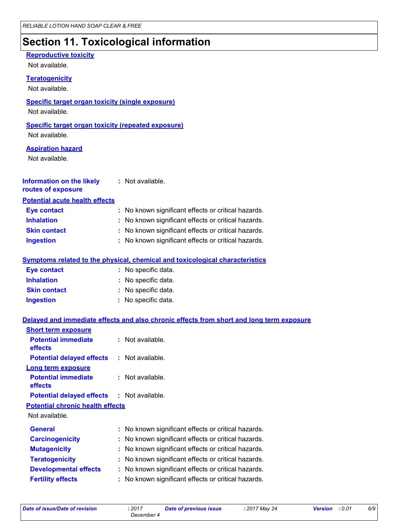# **Section 11. Toxicological information**

#### **Reproductive toxicity**

Not available.

#### **Teratogenicity**

Not available.

#### **Specific target organ toxicity (single exposure)**

Not available.

#### **Specific target organ toxicity (repeated exposure)**

Not available.

#### **Aspiration hazard**

Not available.

| <b>Information on the likely</b><br>routes of exposure | : Not available.                                    |
|--------------------------------------------------------|-----------------------------------------------------|
| <b>Potential acute health effects</b>                  |                                                     |
| <b>Eye contact</b>                                     | : No known significant effects or critical hazards. |
| <b>Inhalation</b>                                      | : No known significant effects or critical hazards. |
| <b>Skin contact</b>                                    | : No known significant effects or critical hazards. |

**Ingestion :** No known significant effects or critical hazards.

#### **Symptoms related to the physical, chemical and toxicological characteristics**

| <b>Eye contact</b>  | : No specific data. |
|---------------------|---------------------|
| <b>Inhalation</b>   | : No specific data. |
| <b>Skin contact</b> | : No specific data. |
| <b>Ingestion</b>    | : No specific data. |

#### **Delayed and immediate effects and also chronic effects from short and long term exposure**

| <b>Short term exposure</b>                        |  |                                                     |  |  |
|---------------------------------------------------|--|-----------------------------------------------------|--|--|
| <b>Potential immediate</b><br><b>effects</b>      |  | $:$ Not available.                                  |  |  |
| <b>Potential delayed effects</b>                  |  | : Not available.                                    |  |  |
| Long term exposure                                |  |                                                     |  |  |
| <b>Potential immediate</b><br><b>effects</b>      |  | $:$ Not available.                                  |  |  |
| <b>Potential delayed effects : Not available.</b> |  |                                                     |  |  |
| <b>Potential chronic health effects</b>           |  |                                                     |  |  |
| Not available.                                    |  |                                                     |  |  |
| <b>General</b>                                    |  | : No known significant effects or critical hazards. |  |  |
| <b>Carcinogenicity</b>                            |  | : No known significant effects or critical hazards. |  |  |
| <b>Mutagenicity</b>                               |  | No known significant effects or critical hazards.   |  |  |
| <b>Teratogenicity</b>                             |  | : No known significant effects or critical hazards. |  |  |
| <b>Developmental effects</b>                      |  | : No known significant effects or critical hazards. |  |  |
| <b>Fertility effects</b>                          |  | : No known significant effects or critical hazards. |  |  |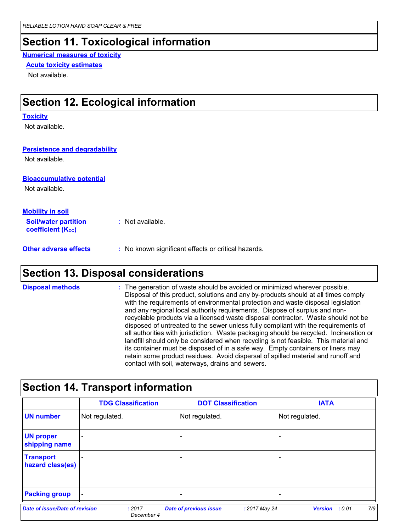### **Section 11. Toxicological information**

#### **Numerical measures of toxicity**

#### **Acute toxicity estimates**

Not available.

### **Section 12. Ecological information**

#### **Toxicity**

Not available.

#### **Persistence and degradability**

Not available.

#### **Bioaccumulative potential**

Not available.

| <b>Mobility in soil</b>                                       |                                                                                                                                                                                                                                      |
|---------------------------------------------------------------|--------------------------------------------------------------------------------------------------------------------------------------------------------------------------------------------------------------------------------------|
| <b>Soil/water partition</b><br>coefficient (K <sub>oc</sub> ) | : Not available.                                                                                                                                                                                                                     |
| All control control of the state                              | <b>Solution International Activity of Contract Contract Contract Contract Contract Contract Contract Contract Contract Contract Contract Contract Contract Contract Contract Contract Contract Contract Contract Contract Contra</b> |

**Other adverse effects** : No known significant effects or critical hazards.

### **Section 13. Disposal considerations**

The generation of waste should be avoided or minimized wherever possible. Disposal of this product, solutions and any by-products should at all times comply with the requirements of environmental protection and waste disposal legislation and any regional local authority requirements. Dispose of surplus and nonrecyclable products via a licensed waste disposal contractor. Waste should not be disposed of untreated to the sewer unless fully compliant with the requirements of all authorities with jurisdiction. Waste packaging should be recycled. Incineration or landfill should only be considered when recycling is not feasible. This material and its container must be disposed of in a safe way. Empty containers or liners may retain some product residues. Avoid dispersal of spilled material and runoff and contact with soil, waterways, drains and sewers. **Disposal methods :**

|                                      | <b>TDG Classification</b> | <b>DOT Classification</b> | <b>IATA</b>    |
|--------------------------------------|---------------------------|---------------------------|----------------|
| <b>UN number</b>                     | Not regulated.            | Not regulated.            | Not regulated. |
| <b>UN proper</b><br>shipping name    |                           |                           |                |
| <b>Transport</b><br>hazard class(es) |                           |                           |                |
| <b>Packing group</b>                 |                           |                           |                |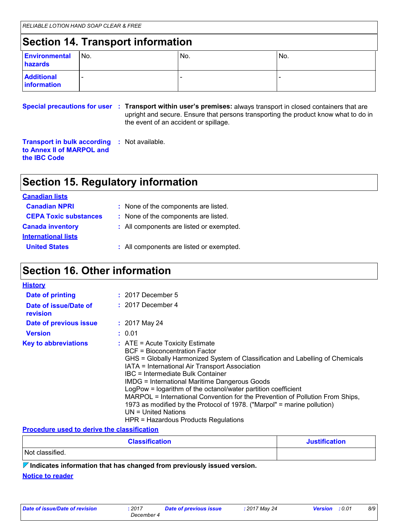# **Section 14. Transport information**

| <b>Environmental</b><br>hazards  | No. | IN <sub>o</sub>          | No. |
|----------------------------------|-----|--------------------------|-----|
| <b>Additional</b><br>information |     | $\overline{\phantom{a}}$ |     |

**Special precautions for user Transport within user's premises:** always transport in closed containers that are **:** upright and secure. Ensure that persons transporting the product know what to do in the event of an accident or spillage.

**Transport in bulk according :** Not available. **to Annex II of MARPOL and the IBC Code**

# **Section 15. Regulatory information**

| <b>Canadian lists</b>        |                                          |
|------------------------------|------------------------------------------|
| <b>Canadian NPRI</b>         | : None of the components are listed.     |
| <b>CEPA Toxic substances</b> | : None of the components are listed.     |
| <b>Canada inventory</b>      | : All components are listed or exempted. |
| <b>International lists</b>   |                                          |
| <b>United States</b>         | : All components are listed or exempted. |

### **Section 16. Other information**

| <b>History</b>                    |                                                                                                                                                                                                                                                                                                                                                                                                                                                                                                                                                                                                  |
|-----------------------------------|--------------------------------------------------------------------------------------------------------------------------------------------------------------------------------------------------------------------------------------------------------------------------------------------------------------------------------------------------------------------------------------------------------------------------------------------------------------------------------------------------------------------------------------------------------------------------------------------------|
| Date of printing                  | $: 2017$ December 5                                                                                                                                                                                                                                                                                                                                                                                                                                                                                                                                                                              |
| Date of issue/Date of<br>revision | $: 2017$ December 4                                                                                                                                                                                                                                                                                                                                                                                                                                                                                                                                                                              |
| <b>Date of previous issue</b>     | $: 2017$ May 24                                                                                                                                                                                                                                                                                                                                                                                                                                                                                                                                                                                  |
| <b>Version</b>                    | : 0.01                                                                                                                                                                                                                                                                                                                                                                                                                                                                                                                                                                                           |
| <b>Key to abbreviations</b>       | $:$ ATE = Acute Toxicity Estimate<br>BCF = Bioconcentration Factor<br>GHS = Globally Harmonized System of Classification and Labelling of Chemicals<br>IATA = International Air Transport Association<br>IBC = Intermediate Bulk Container<br><b>IMDG = International Maritime Dangerous Goods</b><br>LogPow = logarithm of the octanol/water partition coefficient<br>MARPOL = International Convention for the Prevention of Pollution From Ships,<br>1973 as modified by the Protocol of 1978. ("Marpol" = marine pollution)<br>$UN = United Nations$<br>HPR = Hazardous Products Regulations |

#### **Procedure used to derive the classification**

| <b>Classification</b> | <b>Justification</b> |
|-----------------------|----------------------|
| Not classified.       |                      |

**Indicates information that has changed from previously issued version.**

#### **Notice to reader**